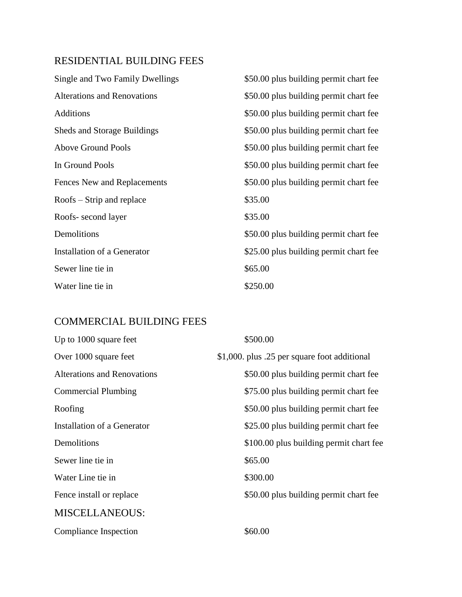## RESIDENTIAL BUILDING FEES

| Single and Two Family Dwellings    | \$50.00 plus building permit chart fee |
|------------------------------------|----------------------------------------|
| <b>Alterations and Renovations</b> | \$50.00 plus building permit chart fee |
| <b>Additions</b>                   | \$50.00 plus building permit chart fee |
| <b>Sheds and Storage Buildings</b> | \$50.00 plus building permit chart fee |
| <b>Above Ground Pools</b>          | \$50.00 plus building permit chart fee |
| In Ground Pools                    | \$50.00 plus building permit chart fee |
| Fences New and Replacements        | \$50.00 plus building permit chart fee |
| $Roots - String$ and replace       | \$35.00                                |
| Roofs-second layer                 | \$35.00                                |
| Demolitions                        | \$50.00 plus building permit chart fee |
| Installation of a Generator        | \$25.00 plus building permit chart fee |
| Sewer line tie in                  | \$65.00                                |
| Water line tie in                  | \$250.00                               |

## COMMERCIAL BUILDING FEES

| Up to 1000 square feet             | \$500.00                                     |
|------------------------------------|----------------------------------------------|
| Over 1000 square feet              | \$1,000. plus .25 per square foot additional |
| <b>Alterations and Renovations</b> | \$50.00 plus building permit chart fee       |
| <b>Commercial Plumbing</b>         | \$75.00 plus building permit chart fee       |
| Roofing                            | \$50.00 plus building permit chart fee       |
| Installation of a Generator        | \$25.00 plus building permit chart fee       |
| Demolitions                        | \$100.00 plus building permit chart fee      |
| Sewer line tie in                  | \$65.00                                      |
| Water Line tie in                  | \$300.00                                     |
| Fence install or replace           | \$50.00 plus building permit chart fee       |
| <b>MISCELLANEOUS:</b>              |                                              |
| Compliance Inspection              | \$60.00                                      |